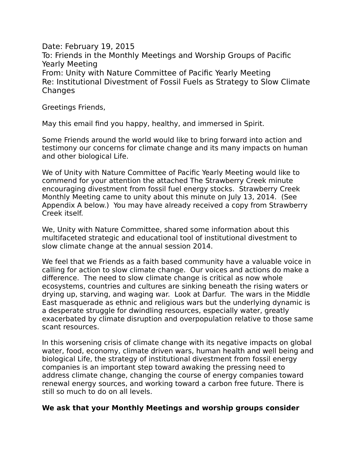Date: February 19, 2015 To: Friends in the Monthly Meetings and Worship Groups of Pacific Yearly Meeting From: Unity with Nature Committee of Pacific Yearly Meeting Re: Institutional Divestment of Fossil Fuels as Strategy to Slow Climate **Changes** 

Greetings Friends,

May this email find you happy, healthy, and immersed in Spirit.

Some Friends around the world would like to bring forward into action and testimony our concerns for climate change and its many impacts on human and other biological Life.

We of Unity with Nature Committee of Pacific Yearly Meeting would like to commend for your attention the attached The Strawberry Creek minute encouraging divestment from fossil fuel energy stocks. Strawberry Creek Monthly Meeting came to unity about this minute on July 13, 2014. (See Appendix A below.) You may have already received a copy from Strawberry Creek itself.

We, Unity with Nature Committee, shared some information about this multifaceted strategic and educational tool of institutional divestment to slow climate change at the annual session 2014.

We feel that we Friends as a faith based community have a valuable voice in calling for action to slow climate change. Our voices and actions do make a difference. The need to slow climate change is critical as now whole ecosystems, countries and cultures are sinking beneath the rising waters or drying up, starving, and waging war. Look at Darfur. The wars in the Middle East masquerade as ethnic and religious wars but the underlying dynamic is a desperate struggle for dwindling resources, especially water, greatly exacerbated by climate disruption and overpopulation relative to those same scant resources.

In this worsening crisis of climate change with its negative impacts on global water, food, economy, climate driven wars, human health and well being and biological Life, the strategy of institutional divestment from fossil energy companies is an important step toward awaking the pressing need to address climate change, changing the course of energy companies toward renewal energy sources, and working toward a carbon free future. There is still so much to do on all levels.

## **We ask that your Monthly Meetings and worship groups consider**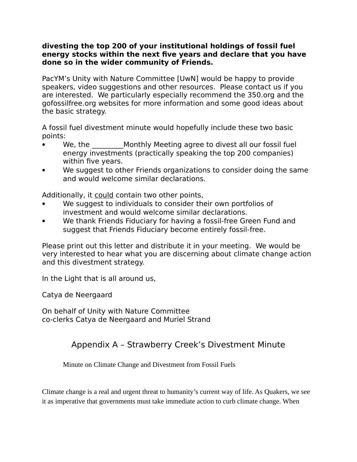## **divesting the top 200 of your institutional holdings of fossil fuel energy stocks within the next five years and declare that you have done so in the wider community of Friends.**

PacYM's Unity with Nature Committee [UwN] would be happy to provide speakers, video suggestions and other resources. Please contact us if you are interested. We particularly especially recommend the 350.org and the gofossilfree.org websites for more information and some good ideas about the basic strategy.

A fossil fuel divestment minute would hopefully include these two basic points:

- We, the **Monthly Meeting agree to divest all our fossil fuel** energy investments (practically speaking the top 200 companies) within five years.
- We suggest to other Friends organizations to consider doing the same and would welcome similar declarations.

Additionally, it could contain two other points,

- We suggest to individuals to consider their own portfolios of investment and would welcome similar declarations.
- We thank Friends Fiduciary for having a fossil-free Green Fund and suggest that Friends Fiduciary become entirely fossil-free.

Please print out this letter and distribute it in your meeting. We would be very interested to hear what you are discerning about climate change action and this divestment strategy.

In the Light that is all around us,

Catya de Neergaard

On behalf of Unity with Nature Committee co-clerks Catya de Neergaard and Muriel Strand

## Appendix A – Strawberry Creek's Divestment Minute

Minute on Climate Change and Divestment from Fossil Fuels

Climate change is a real and urgent threat to humanity's current way of life. As Quakers, we see it as imperative that governments must take immediate action to curb climate change. When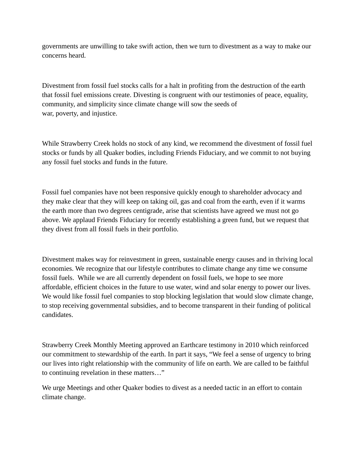governments are unwilling to take swift action, then we turn to divestment as a way to make our concerns heard.

Divestment from fossil fuel stocks calls for a halt in profiting from the destruction of the earth that fossil fuel emissions create. Divesting is congruent with our testimonies of peace, equality, community, and simplicity since climate change will sow the seeds of war, poverty, and injustice.

While Strawberry Creek holds no stock of any kind, we recommend the divestment of fossil fuel stocks or funds by all Quaker bodies, including Friends Fiduciary, and we commit to not buying any fossil fuel stocks and funds in the future.

Fossil fuel companies have not been responsive quickly enough to shareholder advocacy and they make clear that they will keep on taking oil, gas and coal from the earth, even if it warms the earth more than two degrees centigrade, arise that scientists have agreed we must not go above. We applaud Friends Fiduciary for recently establishing a green fund, but we request that they divest from all fossil fuels in their portfolio.

Divestment makes way for reinvestment in green, sustainable energy causes and in thriving local economies. We recognize that our lifestyle contributes to climate change any time we consume fossil fuels. While we are all currently dependent on fossil fuels, we hope to see more affordable, efficient choices in the future to use water, wind and solar energy to power our lives. We would like fossil fuel companies to stop blocking legislation that would slow climate change, to stop receiving governmental subsidies, and to become transparent in their funding of political candidates.

Strawberry Creek Monthly Meeting approved an Earthcare testimony in 2010 which reinforced our commitment to stewardship of the earth. In part it says, "We feel a sense of urgency to bring our lives into right relationship with the community of life on earth. We are called to be faithful to continuing revelation in these matters…"

We urge Meetings and other Quaker bodies to divest as a needed tactic in an effort to contain climate change.